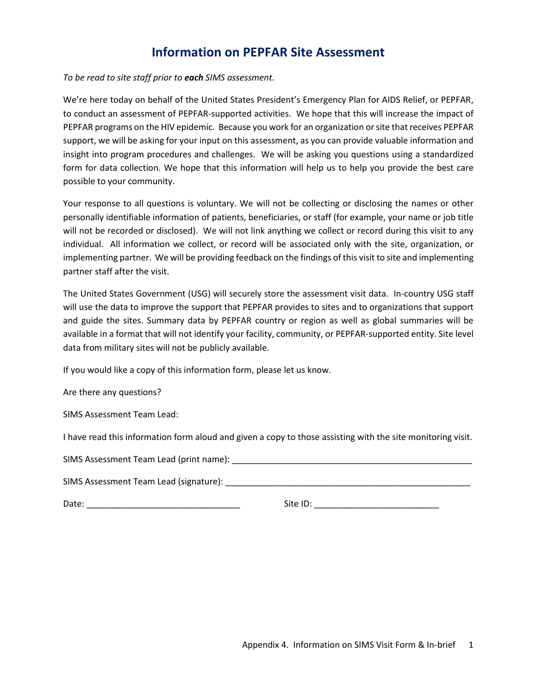## **Information on PEPFAR Site Assessment**

## *To be read to site staff prior to each SIMS assessment.*

We're here today on behalf of the United States President's Emergency Plan for AIDS Relief, or PEPFAR, to conduct an assessment of PEPFAR-supported activities. We hope that this will increase the impact of PEPFAR programs on the HIV epidemic. Because you work for an organization or site that receives PEPFAR support, we will be asking for your input on this assessment, as you can provide valuable information and insight into program procedures and challenges. We will be asking you questions using a standardized form for data collection. We hope that this information will help us to help you provide the best care possible to your community.

Your response to all questions is voluntary. We will not be collecting or disclosing the names or other personally identifiable information of patients, beneficiaries, or staff (for example, your name or job title will not be recorded or disclosed). We will not link anything we collect or record during this visit to any individual. All information we collect, or record will be associated only with the site, organization, or implementing partner. We will be providing feedback on the findings of this visit to site and implementing partner staff after the visit.

The United States Government (USG) will securely store the assessment visit data. In-country USG staff will use the data to improve the support that PEPFAR provides to sites and to organizations that support and guide the sites. Summary data by PEPFAR country or region as well as global summaries will be available in a format that will not identify your facility, community, or PEPFAR-supported entity. Site level data from military sites will not be publicly available.

If you would like a copy of this information form, please let us know.

Are there any questions?

SIMS Assessment Team Lead:

I have read this information form aloud and given a copy to those assisting with the site monitoring visit.

SIMS Assessment Team Lead (print name):

SIMS Assessment Team Lead (signature): \_\_\_\_\_\_\_\_\_\_\_\_\_\_\_\_\_\_\_\_\_\_\_\_\_\_\_\_\_\_\_\_\_\_\_\_\_\_\_\_\_\_\_\_\_\_\_\_\_\_\_

Date: \_\_\_\_\_\_\_\_\_\_\_\_\_\_\_\_\_\_\_\_\_\_\_\_\_\_\_\_\_\_\_\_ Site ID: \_\_\_\_\_\_\_\_\_\_\_\_\_\_\_\_\_\_\_\_\_\_\_\_\_\_